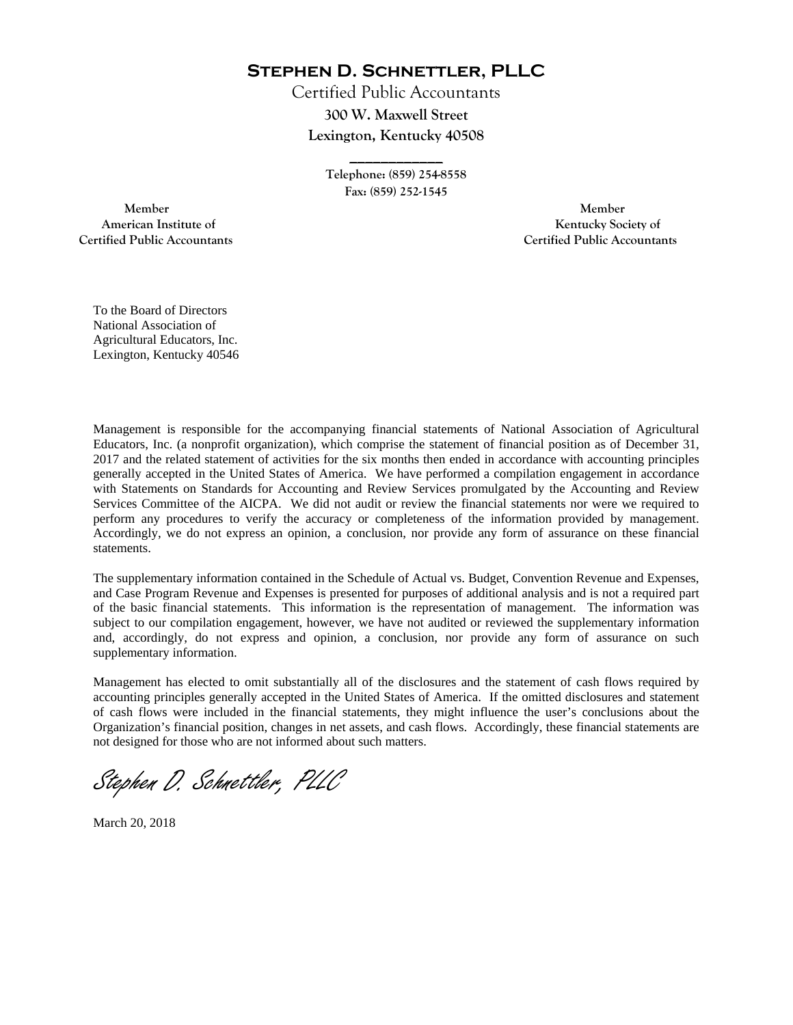**Stephen D. Schnettler, PLLC**

Certified Public Accountants **300 W. Maxwell Street Lexington, Kentucky 40508** 

> **Telephone: (859) 254-8558 Fax: (859) 252-1545**

**\_\_\_\_\_\_\_\_\_\_\_\_** 

 **Member Member Certified Public Accountants Certified Public Accountants** 

American Institute of **Kentucky Society of** 

To the Board of Directors National Association of Agricultural Educators, Inc. Lexington, Kentucky 40546

Management is responsible for the accompanying financial statements of National Association of Agricultural Educators, Inc. (a nonprofit organization), which comprise the statement of financial position as of December 31, 2017 and the related statement of activities for the six months then ended in accordance with accounting principles generally accepted in the United States of America. We have performed a compilation engagement in accordance with Statements on Standards for Accounting and Review Services promulgated by the Accounting and Review Services Committee of the AICPA. We did not audit or review the financial statements nor were we required to perform any procedures to verify the accuracy or completeness of the information provided by management. Accordingly, we do not express an opinion, a conclusion, nor provide any form of assurance on these financial statements.

The supplementary information contained in the Schedule of Actual vs. Budget, Convention Revenue and Expenses, and Case Program Revenue and Expenses is presented for purposes of additional analysis and is not a required part of the basic financial statements. This information is the representation of management. The information was subject to our compilation engagement, however, we have not audited or reviewed the supplementary information and, accordingly, do not express and opinion, a conclusion, nor provide any form of assurance on such supplementary information.

Management has elected to omit substantially all of the disclosures and the statement of cash flows required by accounting principles generally accepted in the United States of America. If the omitted disclosures and statement of cash flows were included in the financial statements, they might influence the user's conclusions about the Organization's financial position, changes in net assets, and cash flows. Accordingly, these financial statements are not designed for those who are not informed about such matters.

Stephen D. Schnettler, PLLC

March 20, 2018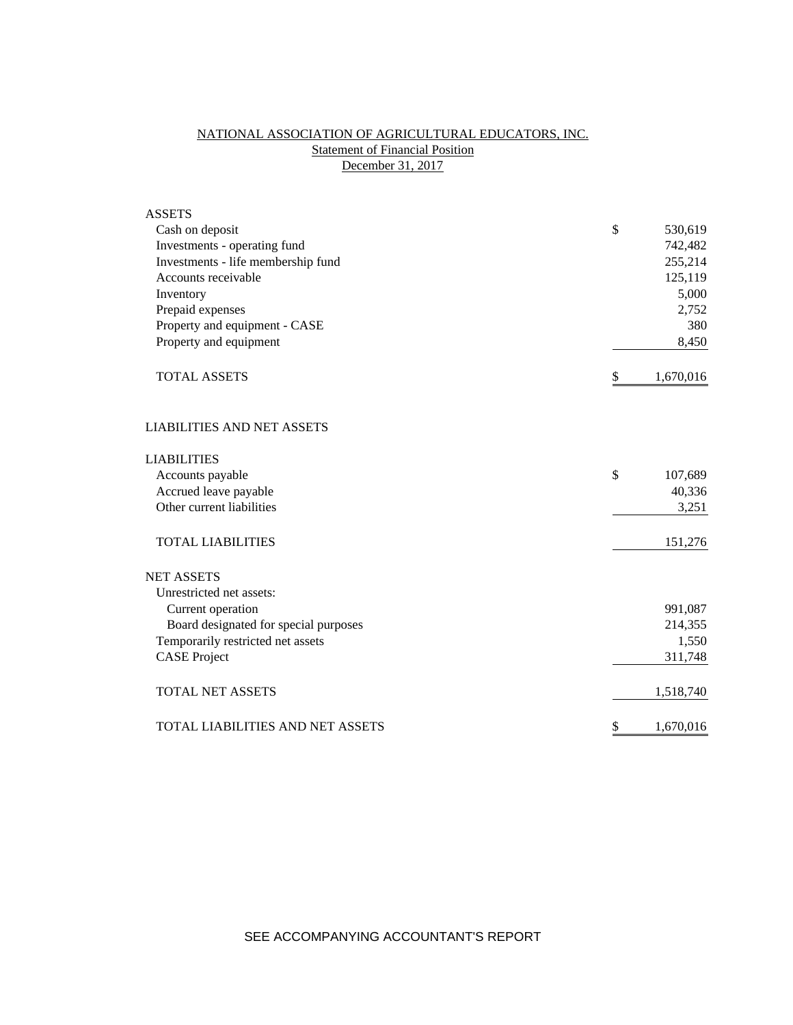# NATIONAL ASSOCIATION OF AGRICULTURAL EDUCATORS, INC. **Statement of Financial Position** December 31, 2017

| <b>ASSETS</b>                         |                 |
|---------------------------------------|-----------------|
| Cash on deposit                       | \$<br>530,619   |
| Investments - operating fund          | 742,482         |
| Investments - life membership fund    | 255,214         |
| Accounts receivable                   | 125,119         |
| Inventory                             | 5,000           |
| Prepaid expenses                      | 2,752           |
| Property and equipment - CASE         | 380             |
| Property and equipment                | 8,450           |
| <b>TOTAL ASSETS</b>                   | \$<br>1,670,016 |
| <b>LIABILITIES AND NET ASSETS</b>     |                 |
| <b>LIABILITIES</b>                    |                 |
| Accounts payable                      | \$<br>107,689   |
| Accrued leave payable                 | 40,336          |
| Other current liabilities             | 3,251           |
| <b>TOTAL LIABILITIES</b>              | 151,276         |
| <b>NET ASSETS</b>                     |                 |
| Unrestricted net assets:              |                 |
| Current operation                     | 991,087         |
| Board designated for special purposes | 214,355         |
| Temporarily restricted net assets     | 1,550           |
| <b>CASE Project</b>                   | 311,748         |
| <b>TOTAL NET ASSETS</b>               | 1,518,740       |
| TOTAL LIABILITIES AND NET ASSETS      | \$<br>1,670,016 |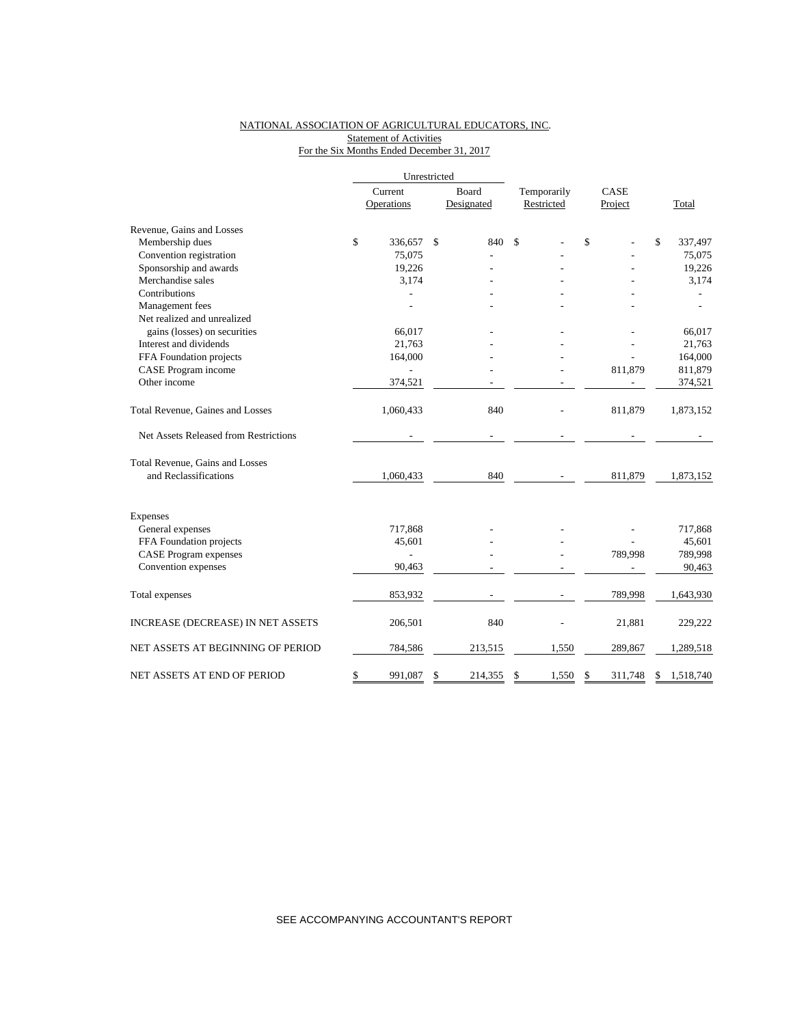#### NATIONAL ASSOCIATION OF AGRICULTURAL EDUCATORS, INC. **Statement of Activities** For the Six Months Ended December 31, 2017

|                                       |         | Unrestricted             |    |            |             |      |         |                 |  |
|---------------------------------------|---------|--------------------------|----|------------|-------------|------|---------|-----------------|--|
|                                       | Current |                          |    | Board      | Temporarily | CASE |         |                 |  |
|                                       |         | Operations               |    | Designated | Restricted  |      | Project | Total           |  |
| Revenue, Gains and Losses             |         |                          |    |            |             |      |         |                 |  |
| Membership dues                       | \$      | 336,657                  | \$ | 840        | \$          | \$   |         | \$<br>337,497   |  |
| Convention registration               |         | 75,075                   |    |            |             |      |         | 75,075          |  |
| Sponsorship and awards                |         | 19,226                   |    |            |             |      |         | 19,226          |  |
| Merchandise sales                     |         | 3,174                    |    |            |             |      |         | 3,174           |  |
| Contributions                         |         |                          |    |            |             |      |         |                 |  |
| Management fees                       |         |                          |    |            |             |      |         |                 |  |
| Net realized and unrealized           |         |                          |    |            |             |      |         |                 |  |
| gains (losses) on securities          |         | 66.017                   |    |            |             |      |         | 66,017          |  |
| Interest and dividends                |         | 21,763                   |    |            |             |      |         | 21,763          |  |
| FFA Foundation projects               |         | 164,000                  |    |            |             |      |         | 164,000         |  |
| CASE Program income                   |         |                          |    |            |             |      | 811,879 | 811,879         |  |
| Other income                          |         | 374,521                  |    |            |             |      |         | 374,521         |  |
| Total Revenue, Gaines and Losses      |         | 1,060,433                |    | 840        |             |      | 811,879 | 1,873,152       |  |
| Net Assets Released from Restrictions |         |                          |    |            |             |      |         |                 |  |
| Total Revenue, Gains and Losses       |         |                          |    |            |             |      |         |                 |  |
| and Reclassifications                 |         | 1,060,433                |    | 840        |             |      | 811,879 | 1,873,152       |  |
| <b>Expenses</b>                       |         |                          |    |            |             |      |         |                 |  |
| General expenses                      |         | 717,868                  |    |            |             |      |         | 717,868         |  |
| FFA Foundation projects               |         | 45,601                   |    |            |             |      |         | 45,601          |  |
| <b>CASE Program expenses</b>          |         | $\overline{\phantom{0}}$ |    |            |             |      | 789,998 | 789,998         |  |
| Convention expenses                   |         | 90,463                   |    |            |             |      |         | 90,463          |  |
|                                       |         |                          |    |            |             |      |         |                 |  |
| Total expenses                        |         | 853,932                  |    |            |             |      | 789,998 | 1,643,930       |  |
| INCREASE (DECREASE) IN NET ASSETS     |         | 206,501                  |    | 840        |             |      | 21,881  | 229,222         |  |
| NET ASSETS AT BEGINNING OF PERIOD     |         | 784,586                  |    | 213,515    | 1,550       |      | 289,867 | 1,289,518       |  |
| NET ASSETS AT END OF PERIOD           | \$      | 991,087                  | \$ | 214,355    | \$<br>1,550 | \$   | 311.748 | \$<br>1,518,740 |  |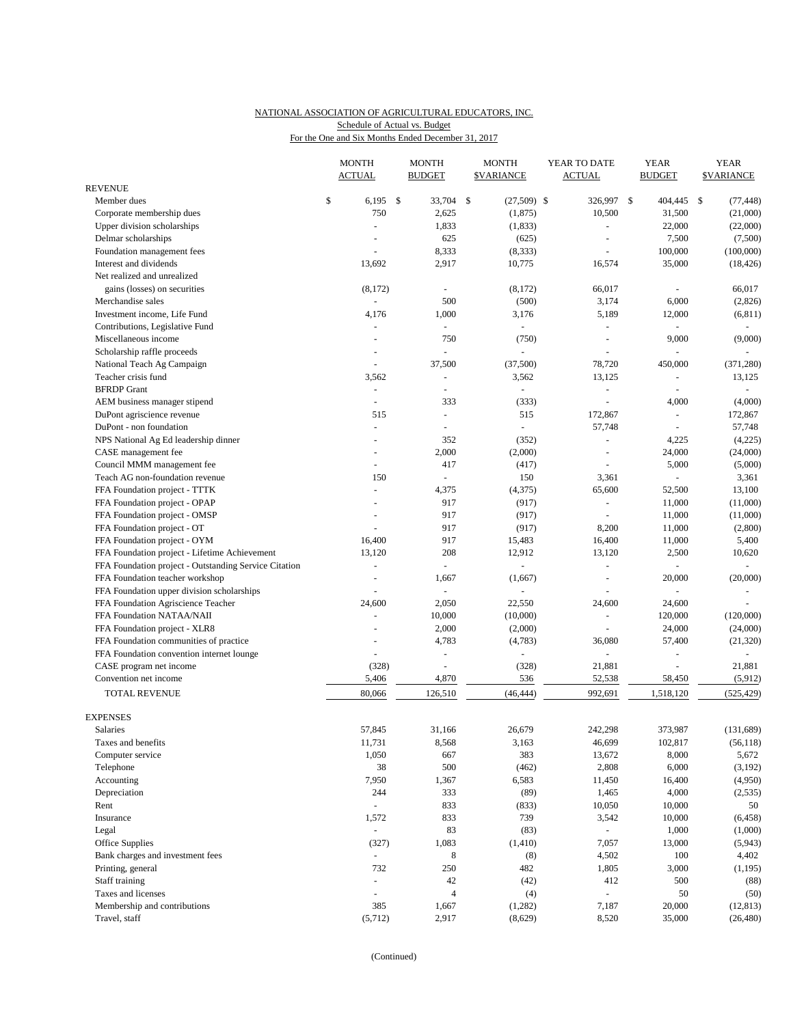## NATIONAL ASSOCIATION OF AGRICULTURAL EDUCATORS, INC. Schedule of Actual vs. Budget

For the One and Six Months Ended December 31, 2017

|                                                       |    | <b>MONTH</b><br><b>ACTUAL</b> |      | <b>MONTH</b><br><b>BUDGET</b> | <b>MONTH</b><br><b><i>SVARIANCE</i></b> |                | YEAR TO DATE<br>ACTUAL |                          | <b>YEAR</b><br><b>BUDGET</b> |                | <b>YEAR</b><br><b>SVARIANCE</b> |                          |
|-------------------------------------------------------|----|-------------------------------|------|-------------------------------|-----------------------------------------|----------------|------------------------|--------------------------|------------------------------|----------------|---------------------------------|--------------------------|
| <b>REVENUE</b>                                        |    |                               |      |                               |                                         |                |                        |                          |                              |                |                                 |                          |
| Member dues                                           | \$ | 6,195                         | - \$ | 33,704                        | -\$                                     | $(27,509)$ \$  |                        | 326,997                  | $\mathbb{S}$                 | 404,445        | \$                              | (77, 448)                |
| Corporate membership dues                             |    | 750                           |      | 2,625                         |                                         | (1, 875)       |                        | 10,500                   |                              | 31,500         |                                 | (21,000)                 |
| Upper division scholarships                           |    | $\sim$                        |      | 1,833                         |                                         | (1, 833)       |                        | ä,                       |                              | 22,000         |                                 | (22,000)                 |
| Delmar scholarships                                   |    |                               |      | 625                           |                                         | (625)          |                        |                          |                              | 7,500          |                                 | (7,500)                  |
| Foundation management fees                            |    | ÷,                            |      | 8,333                         |                                         | (8, 333)       |                        | L.                       |                              | 100,000        |                                 | (100,000)                |
| Interest and dividends                                |    | 13,692                        |      | 2,917                         |                                         | 10,775         |                        | 16,574                   |                              | 35,000         |                                 | (18, 426)                |
| Net realized and unrealized                           |    |                               |      |                               |                                         |                |                        |                          |                              |                |                                 |                          |
| gains (losses) on securities                          |    | (8,172)                       |      |                               |                                         | (8,172)        |                        | 66,017                   |                              | ÷,             |                                 | 66,017                   |
| Merchandise sales                                     |    | $\Box$                        |      | 500                           |                                         | (500)          |                        | 3,174                    |                              | 6,000          |                                 | (2,826)                  |
| Investment income, Life Fund                          |    | 4,176                         |      | 1,000                         |                                         | 3,176          |                        | 5,189                    |                              | 12,000         |                                 | (6, 811)                 |
| Contributions, Legislative Fund                       |    | $\overline{a}$                |      | ÷                             |                                         | ÷              |                        | $\sim$                   |                              |                |                                 | $\omega$                 |
| Miscellaneous income                                  |    |                               |      | 750                           |                                         | (750)          |                        | ä,                       |                              | 9,000          |                                 | (9,000)                  |
| Scholarship raffle proceeds                           |    |                               |      |                               |                                         |                |                        |                          |                              |                |                                 |                          |
| National Teach Ag Campaign                            |    |                               |      | 37,500                        |                                         | (37,500)       |                        | 78,720                   |                              | 450,000        |                                 | (371, 280)               |
| Teacher crisis fund                                   |    | 3,562                         |      | $\overline{\phantom{a}}$      |                                         | 3,562          |                        | 13,125                   |                              | L.             |                                 | 13,125                   |
| <b>BFRDP</b> Grant                                    |    | $\overline{\phantom{a}}$      |      |                               |                                         |                |                        |                          |                              |                |                                 | $\overline{\phantom{a}}$ |
| AEM business manager stipend                          |    | $\overline{a}$                |      | 333                           |                                         | (333)          |                        | ÷.                       |                              | 4,000          |                                 | (4,000)                  |
| DuPont agriscience revenue                            |    | 515                           |      | $\overline{\phantom{a}}$      |                                         | 515            |                        | 172,867                  |                              | ÷,             |                                 | 172,867                  |
| DuPont - non foundation                               |    | $\sim$                        |      |                               |                                         | $\sim$         |                        | 57,748                   |                              |                |                                 | 57,748                   |
| NPS National Ag Ed leadership dinner                  |    |                               |      | 352                           |                                         | (352)          |                        | $\equiv$                 |                              | 4,225          |                                 | (4,225)                  |
| CASE management fee                                   |    | $\overline{a}$                |      | 2,000                         |                                         | (2,000)        |                        | ä,                       |                              | 24,000         |                                 | (24,000)                 |
| Council MMM management fee                            |    |                               |      | 417                           |                                         | (417)          |                        |                          |                              | 5,000          |                                 | (5,000)                  |
| Teach AG non-foundation revenue                       |    | 150                           |      | $\overline{\phantom{a}}$      |                                         | 150            |                        | 3,361                    |                              |                |                                 | 3,361                    |
| FFA Foundation project - TTTK                         |    | $\sim$                        |      | 4,375                         |                                         | (4, 375)       |                        | 65,600                   |                              | 52,500         |                                 | 13,100                   |
| FFA Foundation project - OPAP                         |    |                               |      | 917                           |                                         | (917)          |                        | $\omega$                 |                              | 11,000         |                                 | (11,000)                 |
| FFA Foundation project - OMSP                         |    |                               |      | 917                           |                                         | (917)          |                        |                          |                              | 11,000         |                                 | (11,000)                 |
| FFA Foundation project - OT                           |    |                               |      | 917                           |                                         | (917)          |                        | 8,200                    |                              | 11,000         |                                 | (2,800)                  |
| FFA Foundation project - OYM                          |    | 16,400                        |      | 917                           |                                         | 15,483         |                        | 16,400                   |                              | 11,000         |                                 | 5,400                    |
| FFA Foundation project - Lifetime Achievement         |    | 13,120                        |      | 208                           |                                         | 12,912         |                        | 13,120                   |                              | 2,500          |                                 | 10,620                   |
| FFA Foundation project - Outstanding Service Citation |    | ÷,                            |      | $\blacksquare$                |                                         | L.             |                        | $\blacksquare$           |                              |                |                                 |                          |
| FFA Foundation teacher workshop                       |    | ÷,                            |      | 1,667                         |                                         | (1,667)        |                        | ÷,                       |                              | 20,000         |                                 | (20,000)                 |
| FFA Foundation upper division scholarships            |    | $\overline{a}$                |      | $\overline{a}$                |                                         | $\blacksquare$ |                        | ÷,                       |                              | ÷,             |                                 |                          |
| FFA Foundation Agriscience Teacher                    |    | 24,600                        |      | 2,050                         |                                         | 22,550         |                        | 24,600                   |                              | 24,600         |                                 |                          |
| FFA Foundation NATAA/NAII                             |    | $\overline{a}$                |      | 10,000                        |                                         | (10,000)       |                        | ä,                       |                              | 120,000        |                                 | (120,000)                |
| FFA Foundation project - XLR8                         |    |                               |      | 2,000                         |                                         | (2,000)        |                        |                          |                              | 24,000         |                                 | (24,000)                 |
| FFA Foundation communities of practice                |    | $\sim$                        |      | 4,783                         |                                         | (4,783)        |                        | 36,080                   |                              | 57,400         |                                 | (21, 320)                |
| FFA Foundation convention internet lounge             |    | ÷,                            |      |                               |                                         |                |                        | $\bar{\phantom{a}}$      |                              | $\overline{a}$ |                                 | $\omega$                 |
| CASE program net income                               |    | (328)                         |      | $\overline{\phantom{a}}$      |                                         | (328)          |                        | 21,881                   |                              | L.             |                                 | 21,881                   |
| Convention net income                                 |    | 5,406                         |      | 4,870                         |                                         | 536            |                        | 52,538                   |                              | 58,450         |                                 | (5,912)                  |
|                                                       |    |                               |      |                               |                                         |                |                        |                          |                              |                |                                 |                          |
| TOTAL REVENUE                                         |    | 80,066                        |      | 126,510                       |                                         | (46, 444)      |                        | 992,691                  |                              | 1,518,120      |                                 | (525, 429)               |
| <b>EXPENSES</b>                                       |    |                               |      |                               |                                         |                |                        |                          |                              |                |                                 |                          |
| Salaries                                              |    | 57,845                        |      | 31,166                        |                                         | 26,679         |                        | 242,298                  |                              | 373,987        |                                 | (131, 689)               |
| Taxes and benefits                                    |    | 11,731                        |      | 8,568                         |                                         | 3,163          |                        | 46,699                   |                              | 102,817        |                                 | (56, 118)                |
| Computer service                                      |    | 1,050                         |      | 667                           |                                         | 383            |                        | 13,672                   |                              | 8,000          |                                 | 5,672                    |
| Telephone                                             |    | 38                            |      | 500                           |                                         | (462)          |                        | 2,808                    |                              | 6,000          |                                 | (3, 192)                 |
| Accounting                                            |    | 7,950                         |      | 1,367                         |                                         | 6,583          |                        | 11,450                   |                              | 16,400         |                                 | (4,950)                  |
| Depreciation                                          |    | 244                           |      | 333                           |                                         | (89)           |                        | 1,465                    |                              | 4,000          |                                 | (2,535)                  |
| Rent                                                  |    | $\overline{a}$                |      | 833                           |                                         | (833)          |                        | 10,050                   |                              | 10,000         |                                 | 50                       |
| Insurance                                             |    | 1,572                         |      | 833                           |                                         | 739            |                        | 3,542                    |                              | 10,000         |                                 | (6, 458)                 |
| Legal                                                 |    | $\Box$                        |      | 83                            |                                         | (83)           |                        | $\omega_{\rm c}$         |                              | 1,000          |                                 | (1,000)                  |
| Office Supplies                                       |    | (327)                         |      | 1,083                         |                                         | (1,410)        |                        | 7,057                    |                              | 13,000         |                                 | (5,943)                  |
| Bank charges and investment fees                      |    | $\sim$                        |      | 8                             |                                         | (8)            |                        | 4,502                    |                              | 100            |                                 | 4,402                    |
| Printing, general                                     |    | 732                           |      | 250                           |                                         | 482            |                        | 1,805                    |                              | 3,000          |                                 | (1, 195)                 |
| Staff training                                        |    | $\blacksquare$                |      | $42\,$                        |                                         | (42)           |                        | 412                      |                              | 500            |                                 | (88)                     |
| Taxes and licenses                                    |    | $\overline{\phantom{a}}$      |      | $\overline{4}$                |                                         | (4)            |                        | $\overline{\phantom{a}}$ |                              | 50             |                                 | (50)                     |
| Membership and contributions                          |    | 385                           |      | 1,667                         |                                         | (1,282)        |                        | 7,187                    |                              | 20,000         |                                 | (12, 813)                |
| Travel, staff                                         |    | (5,712)                       |      | 2,917                         |                                         | (8,629)        |                        | 8,520                    |                              | 35,000         |                                 | (26, 480)                |
|                                                       |    |                               |      |                               |                                         |                |                        |                          |                              |                |                                 |                          |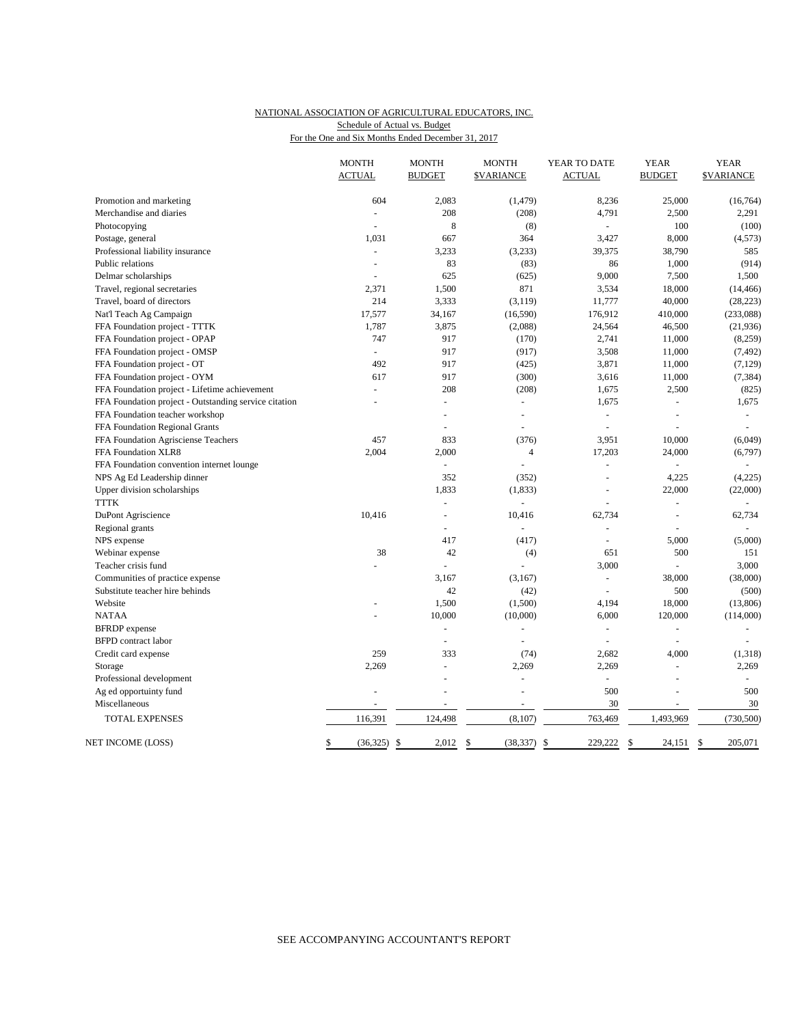### NATIONAL ASSOCIATION OF AGRICULTURAL EDUCATORS, INC. Schedule of Actual vs. Budget

|  |  |  | For the One and Six Months Ended December 31, 2017 |  |
|--|--|--|----------------------------------------------------|--|
|  |  |  |                                                    |  |

|                                                       | <b>MONTH</b><br><b>ACTUAL</b> | <b>MONTH</b><br><b>BUDGET</b> | <b>MONTH</b><br><b><i>SVARIANCE</i></b> | YEAR TO DATE<br><b>ACTUAL</b> | <b>YEAR</b><br><b>BUDGET</b> | <b>YEAR</b><br><b><i>SVARIANCE</i></b> |
|-------------------------------------------------------|-------------------------------|-------------------------------|-----------------------------------------|-------------------------------|------------------------------|----------------------------------------|
| Promotion and marketing                               | 604                           | 2,083                         | (1, 479)                                | 8,236                         | 25,000                       | (16, 764)                              |
| Merchandise and diaries                               |                               | 208                           | (208)                                   | 4,791                         | 2,500                        | 2,291                                  |
| Photocopying                                          |                               | 8                             | (8)                                     | ÷.                            | 100                          | (100)                                  |
| Postage, general                                      | 1,031                         | 667                           | 364                                     | 3,427                         | 8,000                        | (4,573)                                |
| Professional liability insurance                      | ÷.                            | 3,233                         | (3,233)                                 | 39,375                        | 38,790                       | 585                                    |
| Public relations                                      | L.                            | 83                            | (83)                                    | 86                            | 1,000                        | (914)                                  |
| Delmar scholarships                                   |                               | 625                           | (625)                                   | 9,000                         | 7,500                        | 1,500                                  |
| Travel, regional secretaries                          | 2,371                         | 1,500                         | 871                                     | 3,534                         | 18,000                       | (14, 466)                              |
| Travel, board of directors                            | 214                           | 3,333                         | (3, 119)                                | 11,777                        | 40,000                       | (28, 223)                              |
| Nat'l Teach Ag Campaign                               | 17,577                        | 34,167                        | (16, 590)                               | 176,912                       | 410,000                      | (233,088)                              |
| FFA Foundation project - TTTK                         | 1,787                         | 3,875                         | (2,088)                                 | 24,564                        | 46,500                       | (21,936)                               |
| FFA Foundation project - OPAP                         | 747                           | 917                           | (170)                                   | 2,741                         | 11,000                       | (8,259)                                |
| FFA Foundation project - OMSP                         | L.                            | 917                           | (917)                                   | 3,508                         | 11,000                       | (7, 492)                               |
| FFA Foundation project - OT                           | 492                           | 917                           | (425)                                   | 3,871                         | 11,000                       | (7,129)                                |
| FFA Foundation project - OYM                          | 617                           | 917                           | (300)                                   | 3,616                         | 11,000                       | (7, 384)                               |
| FFA Foundation project - Lifetime achievement         | ÷.                            | 208                           | (208)                                   | 1,675                         | 2,500                        | (825)                                  |
| FFA Foundation project - Outstanding service citation | $\overline{a}$                | $\overline{a}$                | $\omega$                                | 1,675                         | $\sim$                       | 1,675                                  |
| FFA Foundation teacher workshop                       |                               |                               | L,                                      | ÷,                            | ÷,                           | $\omega$                               |
| FFA Foundation Regional Grants                        |                               | $\overline{a}$                | $\overline{a}$                          | $\overline{a}$                |                              | $\sim$                                 |
| FFA Foundation Agrisciense Teachers                   | 457                           | 833                           | (376)                                   | 3,951                         | 10,000                       | (6,049)                                |
| FFA Foundation XLR8                                   | 2,004                         | 2,000                         | $\overline{4}$                          | 17,203                        | 24,000                       | (6,797)                                |
| FFA Foundation convention internet lounge             |                               |                               |                                         |                               |                              |                                        |
| NPS Ag Ed Leadership dinner                           |                               | 352                           | (352)                                   |                               | 4,225                        | (4,225)                                |
| Upper division scholarships                           |                               | 1,833                         | (1, 833)                                | ÷,                            | 22,000                       | (22,000)                               |
| <b>TTTK</b>                                           |                               | L.                            |                                         |                               | L.                           |                                        |
| DuPont Agriscience                                    | 10,416                        | $\sim$                        | 10,416                                  | 62,734                        | $\sim$                       | 62,734                                 |
| Regional grants                                       |                               | $\overline{a}$                | $\overline{a}$                          | L.                            |                              | $\sim$                                 |
| NPS expense                                           |                               | 417                           | (417)                                   | L.                            | 5,000                        | (5,000)                                |
| Webinar expense                                       | 38                            | 42                            | (4)                                     | 651                           | 500                          | 151                                    |
| Teacher crisis fund                                   |                               |                               | $\overline{a}$                          | 3,000                         |                              | 3,000                                  |
| Communities of practice expense                       |                               | 3,167                         | (3,167)                                 | $\bar{\phantom{a}}$           | 38,000                       | (38,000)                               |
| Substitute teacher hire behinds                       |                               | 42                            | (42)                                    | $\overline{a}$                | 500                          | (500)                                  |
| Website                                               |                               | 1,500                         | (1,500)                                 | 4,194                         | 18,000                       | (13,806)                               |
| <b>NATAA</b>                                          |                               | 10,000                        | (10,000)                                | 6,000                         | 120,000                      | (114,000)                              |
| <b>BFRDP</b> expense                                  |                               | $\overline{a}$                | ÷                                       | $\sim$                        | $\sim$                       | $\sim$                                 |
| <b>BFPD</b> contract labor                            |                               | $\sim$                        | ÷,                                      | ÷,                            | ÷,                           |                                        |
| Credit card expense                                   | 259                           | 333                           | (74)                                    | 2,682                         | 4,000                        | (1,318)                                |
| Storage                                               | 2,269                         | $\overline{a}$                | 2,269                                   | 2,269                         | ÷,                           | 2,269                                  |
| Professional development                              |                               |                               |                                         | ÷,                            |                              | $\sim$                                 |
| Ag ed opportuinty fund                                |                               |                               | L,                                      | 500                           |                              | 500                                    |
| Miscellaneous                                         |                               |                               |                                         | 30                            |                              | 30                                     |
| <b>TOTAL EXPENSES</b>                                 | 116,391                       | 124,498                       | (8, 107)                                | 763,469                       | 1,493,969                    | (730, 500)                             |
| NET INCOME (LOSS)                                     | \$<br>$(36,325)$ \$           | 2,012                         | \$<br>$(38, 337)$ \$                    | 229,222                       | \$<br>24,151 \$              | 205,071                                |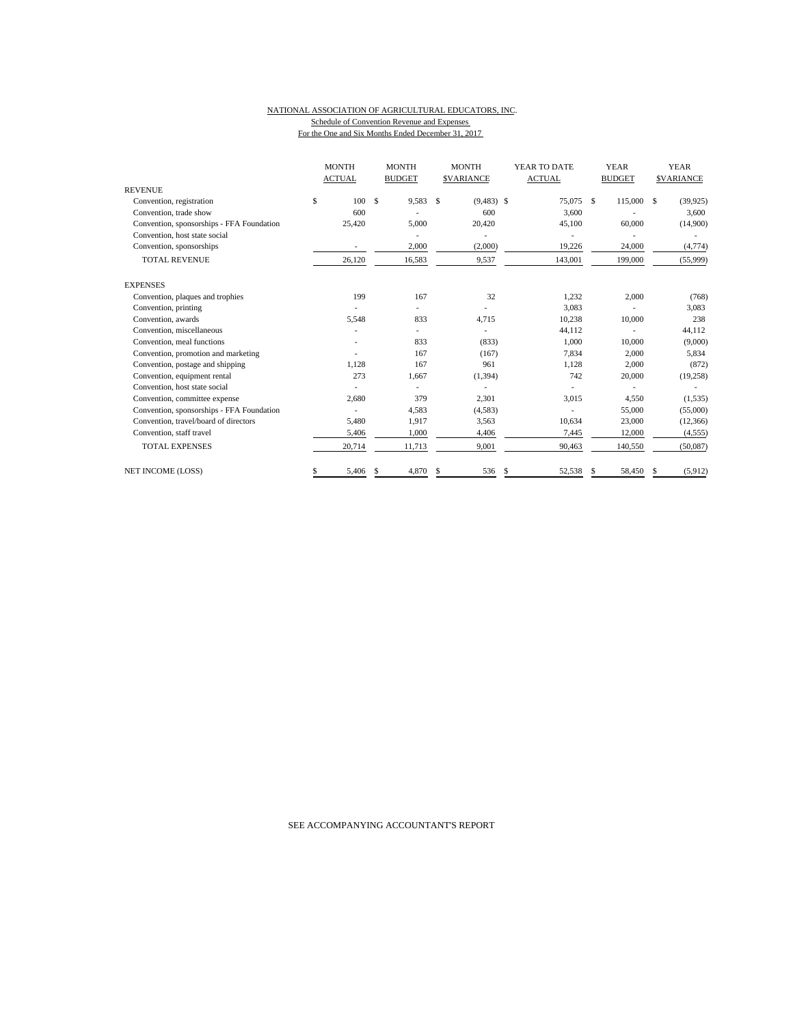#### NATIONAL ASSOCIATION OF AGRICULTURAL EDUCATORS, INC. Schedule of Convention Revenue and Expenses For the One and Six Months Ended December 31, 2017

|                                           | <b>MONTH</b><br><b>ACTUAL</b> |     | <b>MONTH</b><br><b>BUDGET</b> |    | <b>MONTH</b><br><b>SVARIANCE</b> |    | YEAR TO DATE<br><b>ACTUAL</b> |     | <b>YEAR</b><br><b>BUDGET</b> |    | <b>YEAR</b><br><b>SVARIANCE</b> |
|-------------------------------------------|-------------------------------|-----|-------------------------------|----|----------------------------------|----|-------------------------------|-----|------------------------------|----|---------------------------------|
| <b>REVENUE</b>                            |                               |     |                               |    |                                  |    |                               |     |                              |    |                                 |
| Convention, registration                  | \$<br>100                     | \$  | 9,583                         | -S | $(9,483)$ \$                     |    | 75,075                        | -\$ | 115,000                      | \$ | (39, 925)                       |
| Convention, trade show                    | 600                           |     |                               |    | 600                              |    | 3,600                         |     |                              |    | 3,600                           |
| Convention, sponsorships - FFA Foundation | 25,420                        |     | 5,000                         |    | 20,420                           |    | 45,100                        |     | 60,000                       |    | (14,900)                        |
| Convention, host state social             |                               |     |                               |    |                                  |    |                               |     |                              |    |                                 |
| Convention, sponsorships                  |                               |     | 2,000                         |    | (2,000)                          |    | 19,226                        |     | 24,000                       |    | (4, 774)                        |
| <b>TOTAL REVENUE</b>                      | 26,120                        |     | 16,583                        |    | 9,537                            |    | 143,001                       |     | 199,000                      |    | (55,999)                        |
| <b>EXPENSES</b>                           |                               |     |                               |    |                                  |    |                               |     |                              |    |                                 |
| Convention, plaques and trophies          | 199                           |     | 167                           |    | 32                               |    | 1,232                         |     | 2,000                        |    | (768)                           |
| Convention, printing                      |                               |     |                               |    |                                  |    | 3,083                         |     |                              |    | 3,083                           |
| Convention, awards                        | 5,548                         |     | 833                           |    | 4,715                            |    | 10,238                        |     | 10,000                       |    | 238                             |
| Convention, miscellaneous                 |                               |     |                               |    |                                  |    | 44,112                        |     |                              |    | 44,112                          |
| Convention, meal functions                |                               |     | 833                           |    | (833)                            |    | 1.000                         |     | 10.000                       |    | (9,000)                         |
| Convention, promotion and marketing       |                               |     | 167                           |    | (167)                            |    | 7,834                         |     | 2,000                        |    | 5,834                           |
| Convention, postage and shipping          | 1,128                         |     | 167                           |    | 961                              |    | 1,128                         |     | 2,000                        |    | (872)                           |
| Convention, equipment rental              | 273                           |     | 1,667                         |    | (1, 394)                         |    | 742                           |     | 20,000                       |    | (19,258)                        |
| Convention, host state social             |                               |     |                               |    |                                  |    |                               |     |                              |    |                                 |
| Convention, committee expense             | 2,680                         |     | 379                           |    | 2,301                            |    | 3,015                         |     | 4,550                        |    | (1, 535)                        |
| Convention, sponsorships - FFA Foundation |                               |     | 4,583                         |    | (4, 583)                         |    |                               |     | 55,000                       |    | (55,000)                        |
| Convention, travel/board of directors     | 5,480                         |     | 1,917                         |    | 3,563                            |    | 10,634                        |     | 23,000                       |    | (12, 366)                       |
| Convention, staff travel                  | 5,406                         |     | 1,000                         |    | 4,406                            |    | 7,445                         |     | 12,000                       |    | (4, 555)                        |
| <b>TOTAL EXPENSES</b>                     | 20,714                        |     | 11,713                        |    | 9,001                            |    | 90.463                        |     | 140,550                      |    | (50,087)                        |
| <b>NET INCOME (LOSS)</b>                  | \$<br>5,406                   | \$. | 4,870                         | £. | 536                              | \$ | 52,538                        | \$  | 58,450                       | S  | (5,912)                         |